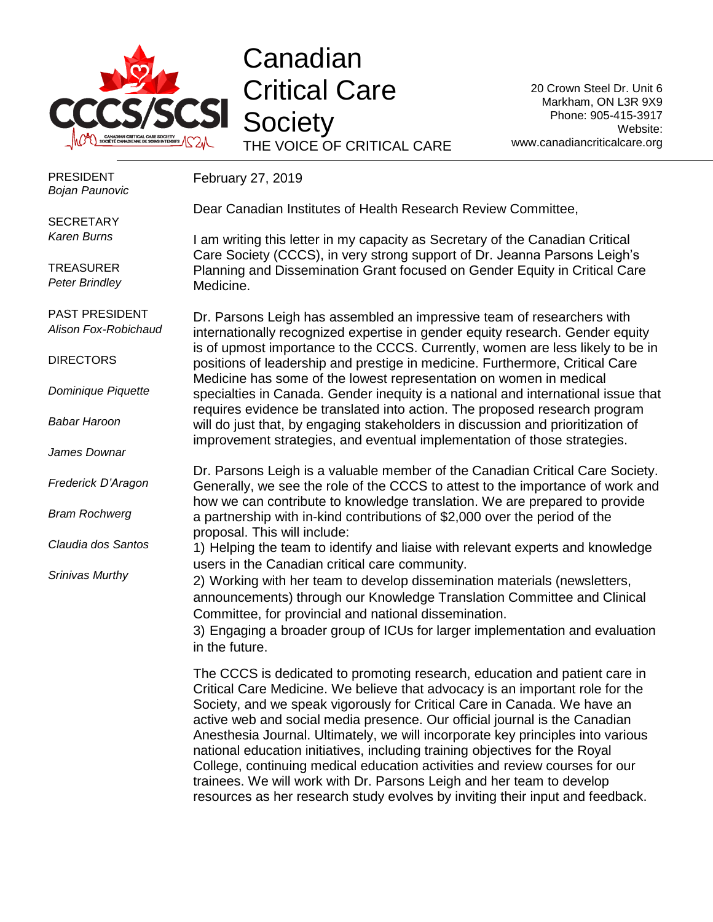

## Canadian Critical Care **Society**

THE VOICE OF CRITICAL CARE

20 Crown Steel Dr. Unit 6 Markham, ON L3R 9X9 Phone: 905-415-3917 Website: www.canadiancriticalcare.org

| <b>PRESIDENT</b><br><b>Bojan Paunovic</b> | February 27, 2019                                                                                                                                                                                                                                                                                                                                                                                                                                                                                                                                                                                                                               |
|-------------------------------------------|-------------------------------------------------------------------------------------------------------------------------------------------------------------------------------------------------------------------------------------------------------------------------------------------------------------------------------------------------------------------------------------------------------------------------------------------------------------------------------------------------------------------------------------------------------------------------------------------------------------------------------------------------|
| <b>SECRETARY</b>                          | Dear Canadian Institutes of Health Research Review Committee,                                                                                                                                                                                                                                                                                                                                                                                                                                                                                                                                                                                   |
| <b>Karen Burns</b>                        | I am writing this letter in my capacity as Secretary of the Canadian Critical<br>Care Society (CCCS), in very strong support of Dr. Jeanna Parsons Leigh's                                                                                                                                                                                                                                                                                                                                                                                                                                                                                      |
| <b>TREASURER</b><br><b>Peter Brindley</b> | Planning and Dissemination Grant focused on Gender Equity in Critical Care<br>Medicine.                                                                                                                                                                                                                                                                                                                                                                                                                                                                                                                                                         |
| PAST PRESIDENT<br>Alison Fox-Robichaud    | Dr. Parsons Leigh has assembled an impressive team of researchers with<br>internationally recognized expertise in gender equity research. Gender equity                                                                                                                                                                                                                                                                                                                                                                                                                                                                                         |
| <b>DIRECTORS</b>                          | is of upmost importance to the CCCS. Currently, women are less likely to be in<br>positions of leadership and prestige in medicine. Furthermore, Critical Care                                                                                                                                                                                                                                                                                                                                                                                                                                                                                  |
| Dominique Piquette                        | Medicine has some of the lowest representation on women in medical<br>specialties in Canada. Gender inequity is a national and international issue that<br>requires evidence be translated into action. The proposed research program                                                                                                                                                                                                                                                                                                                                                                                                           |
| <b>Babar Haroon</b>                       | will do just that, by engaging stakeholders in discussion and prioritization of<br>improvement strategies, and eventual implementation of those strategies.                                                                                                                                                                                                                                                                                                                                                                                                                                                                                     |
| James Downar                              |                                                                                                                                                                                                                                                                                                                                                                                                                                                                                                                                                                                                                                                 |
| Frederick D'Aragon                        | Dr. Parsons Leigh is a valuable member of the Canadian Critical Care Society.<br>Generally, we see the role of the CCCS to attest to the importance of work and<br>how we can contribute to knowledge translation. We are prepared to provide                                                                                                                                                                                                                                                                                                                                                                                                   |
| <b>Bram Rochwerg</b>                      | a partnership with in-kind contributions of \$2,000 over the period of the<br>proposal. This will include:                                                                                                                                                                                                                                                                                                                                                                                                                                                                                                                                      |
| Claudia dos Santos                        | 1) Helping the team to identify and liaise with relevant experts and knowledge<br>users in the Canadian critical care community.                                                                                                                                                                                                                                                                                                                                                                                                                                                                                                                |
| Srinivas Murthy                           | 2) Working with her team to develop dissemination materials (newsletters,<br>announcements) through our Knowledge Translation Committee and Clinical<br>Committee, for provincial and national dissemination.<br>3) Engaging a broader group of ICUs for larger implementation and evaluation<br>in the future.                                                                                                                                                                                                                                                                                                                                 |
|                                           | The CCCS is dedicated to promoting research, education and patient care in<br>Critical Care Medicine. We believe that advocacy is an important role for the<br>Society, and we speak vigorously for Critical Care in Canada. We have an<br>active web and social media presence. Our official journal is the Canadian<br>Anesthesia Journal. Ultimately, we will incorporate key principles into various<br>national education initiatives, including training objectives for the Royal<br>College, continuing medical education activities and review courses for our<br>trainees. We will work with Dr. Parsons Leigh and her team to develop |

resources as her research study evolves by inviting their input and feedback.